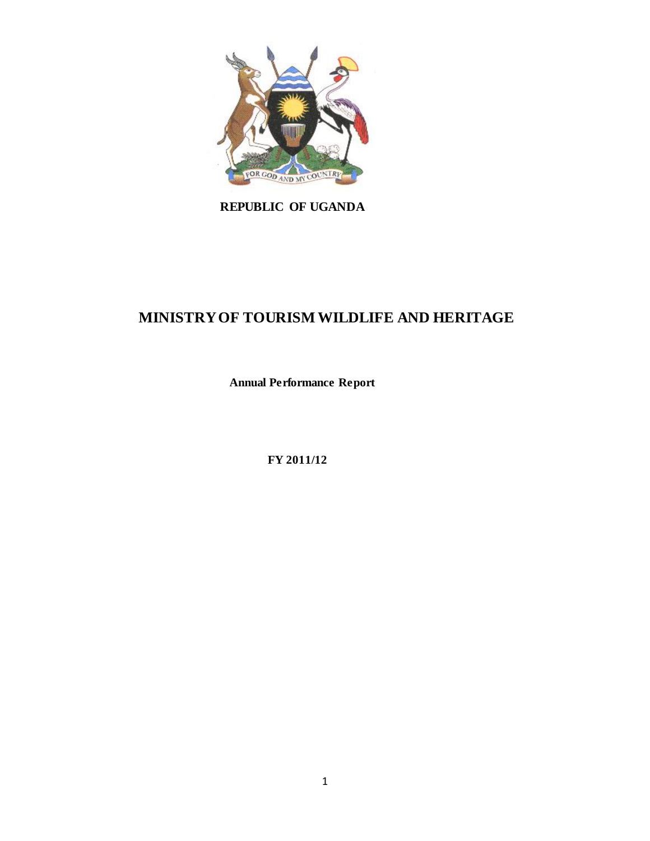

# **REPUBLIC OF UGANDA**

# **MINISTRY OF TOURISM WILDLIFE AND HERITAGE**

**Annual Performance Report**

**FY 2011/12**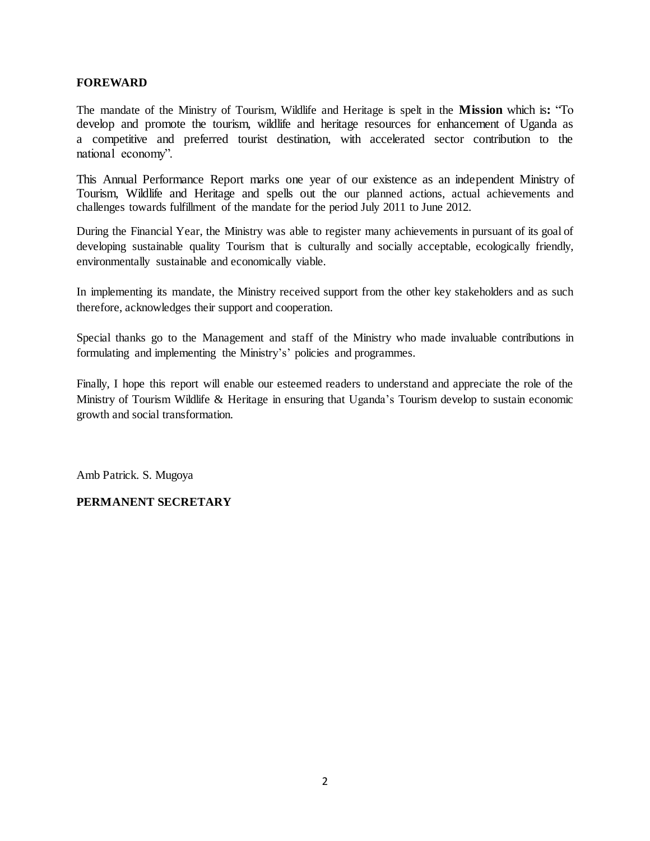## **FOREWARD**

The mandate of the Ministry of Tourism, Wildlife and Heritage is spelt in the **Mission** which is**:** "To develop and promote the tourism, wildlife and heritage resources for enhancement of Uganda as a competitive and preferred tourist destination, with accelerated sector contribution to the national economy".

This Annual Performance Report marks one year of our existence as an independent Ministry of Tourism, Wildlife and Heritage and spells out the our planned actions, actual achievements and challenges towards fulfillment of the mandate for the period July 2011 to June 2012.

During the Financial Year, the Ministry was able to register many achievements in pursuant of its goal of developing sustainable quality Tourism that is culturally and socially acceptable, ecologically friendly, environmentally sustainable and economically viable.

In implementing its mandate, the Ministry received support from the other key stakeholders and as such therefore, acknowledges their support and cooperation.

Special thanks go to the Management and staff of the Ministry who made invaluable contributions in formulating and implementing the Ministry's' policies and programmes.

Finally, I hope this report will enable our esteemed readers to understand and appreciate the role of the Ministry of Tourism Wildlife & Heritage in ensuring that Uganda's Tourism develop to sustain economic growth and social transformation.

Amb Patrick. S. Mugoya

# **PERMANENT SECRETARY**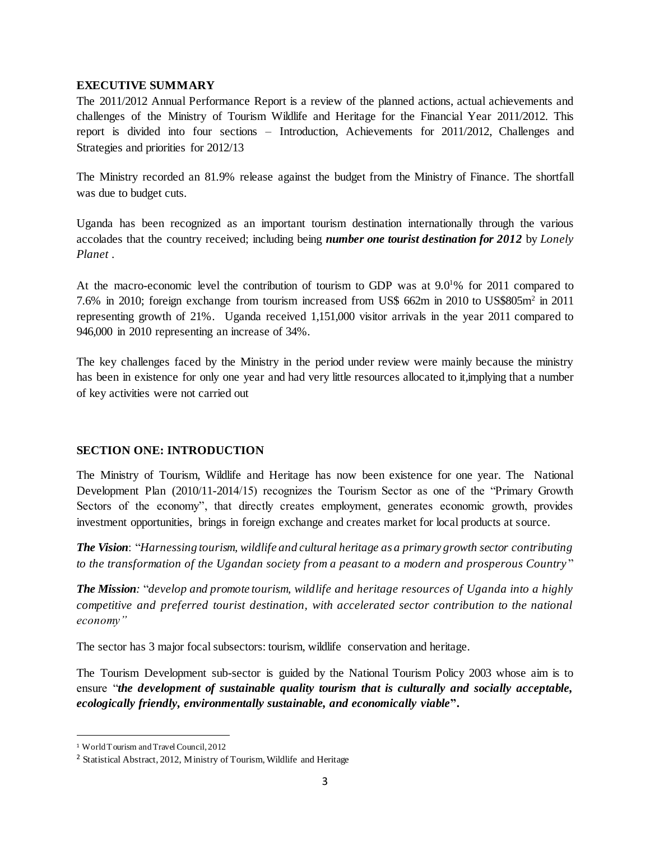## **EXECUTIVE SUMMARY**

The 2011/2012 Annual Performance Report is a review of the planned actions, actual achievements and challenges of the Ministry of Tourism Wildlife and Heritage for the Financial Year 2011/2012. This report is divided into four sections – Introduction, Achievements for 2011/2012, Challenges and Strategies and priorities for 2012/13

The Ministry recorded an 81.9% release against the budget from the Ministry of Finance. The shortfall was due to budget cuts.

Uganda has been recognized as an important tourism destination internationally through the various accolades that the country received; including being *number one tourist destination for 2012* by *Lonely Planet* .

At the macro-economic level the contribution of tourism to GDP was at  $9.01\%$  for 2011 compared to 7.6% in 2010; foreign exchange from tourism increased from US\$ 662m in 2010 to US\$805m<sup>2</sup> in 2011 representing growth of 21%. Uganda received 1,151,000 visitor arrivals in the year 2011 compared to 946,000 in 2010 representing an increase of 34%.

The key challenges faced by the Ministry in the period under review were mainly because the ministry has been in existence for only one year and had very little resources allocated to it,implying that a number of key activities were not carried out

# **SECTION ONE: INTRODUCTION**

The Ministry of Tourism, Wildlife and Heritage has now been existence for one year. The National Development Plan (2010/11-2014/15) recognizes the Tourism Sector as one of the "Primary Growth Sectors of the economy", that directly creates employment, generates economic growth, provides investment opportunities, brings in foreign exchange and creates market for local products at source.

*The Vision*: "*Harnessing tourism, wildlife and cultural heritage as a primary growth sector contributing to the transformation of the Ugandan society from a peasant to a modern and prosperous Country* "

*The Mission:* "*develop and promote tourism, wildlife and heritage resources of Uganda into a highly competitive and preferred tourist destination, with accelerated sector contribution to the national economy"*

The sector has 3 major focal subsectors: tourism, wildlife conservation and heritage.

The Tourism Development sub-sector is guided by the National Tourism Policy 2003 whose aim is to ensure "*the development of sustainable quality tourism that is culturally and socially acceptable, ecologically friendly, environmentally sustainable, and economically viable***".** 

 $\overline{a}$ 

<sup>1</sup> World Tourism and Travel Council, 2012

<sup>2</sup> Statistical Abstract, 2012, Ministry of Tourism, Wildlife and Heritage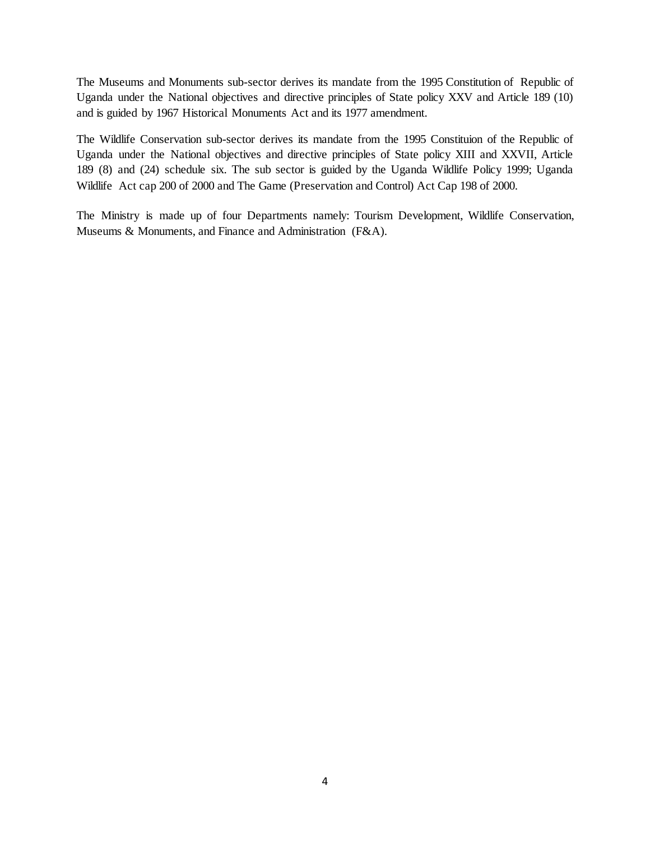The Museums and Monuments sub-sector derives its mandate from the 1995 Constitution of Republic of Uganda under the National objectives and directive principles of State policy XXV and Article 189 (10) and is guided by 1967 Historical Monuments Act and its 1977 amendment.

The Wildlife Conservation sub-sector derives its mandate from the 1995 Constituion of the Republic of Uganda under the National objectives and directive principles of State policy XIII and XXVII, Article 189 (8) and (24) schedule six. The sub sector is guided by the Uganda Wildlife Policy 1999; Uganda Wildlife Act cap 200 of 2000 and The Game (Preservation and Control) Act Cap 198 of 2000.

The Ministry is made up of four Departments namely: Tourism Development, Wildlife Conservation, Museums & Monuments, and Finance and Administration (F&A).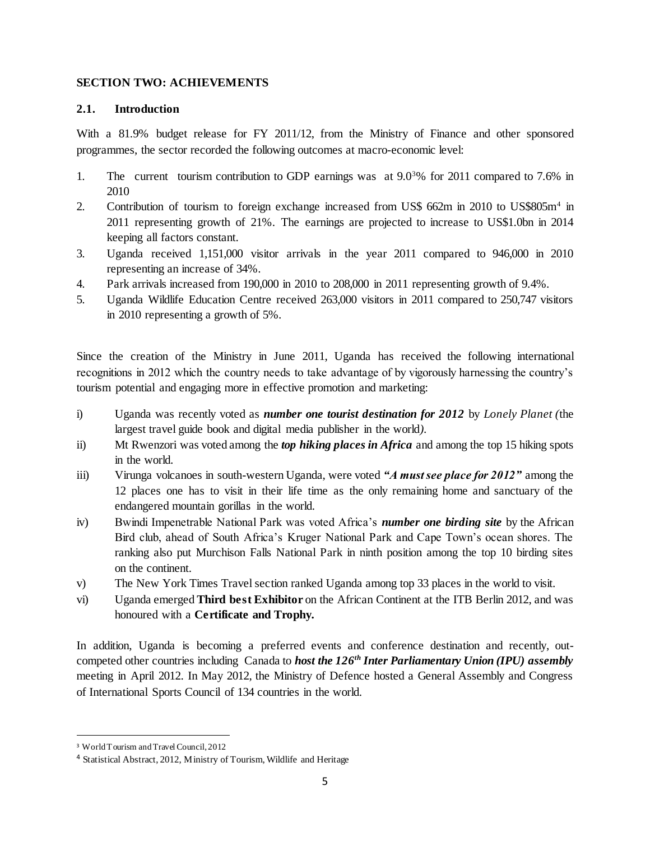## **SECTION TWO: ACHIEVEMENTS**

## **2.1. Introduction**

With a 81.9% budget release for FY 2011/12, from the Ministry of Finance and other sponsored programmes, the sector recorded the following outcomes at macro-economic level:

- 1. The current tourism contribution to GDP earnings was at 9.0<sup>3</sup>% for 2011 compared to 7.6% in 2010
- 2. Contribution of tourism to foreign exchange increased from US\$ 662m in 2010 to US\$805m<sup>4</sup> in 2011 representing growth of 21%. The earnings are projected to increase to US\$1.0bn in 2014 keeping all factors constant.
- 3. Uganda received 1,151,000 visitor arrivals in the year 2011 compared to 946,000 in 2010 representing an increase of 34%.
- 4. Park arrivals increased from 190,000 in 2010 to 208,000 in 2011 representing growth of 9.4%.
- 5. Uganda Wildlife Education Centre received 263,000 visitors in 2011 compared to 250,747 visitors in 2010 representing a growth of 5%.

Since the creation of the Ministry in June 2011, Uganda has received the following international recognitions in 2012 which the country needs to take advantage of by vigorously harnessing the country's tourism potential and engaging more in effective promotion and marketing:

- i) Uganda was recently voted as *number one tourist destination for 2012* by *Lonely Planet (*the largest travel guide book and digital media publisher in the world*).*
- ii) Mt Rwenzori was voted among the *top hiking places in Africa* and among the top 15 hiking spots in the world.
- iii) Virunga volcanoes in south-western Uganda, were voted *"A must see place for 2012"* among the 12 places one has to visit in their life time as the only remaining home and sanctuary of the endangered mountain gorillas in the world.
- iv) Bwindi Impenetrable National Park was voted Africa's *number one birding site* by the African Bird club, ahead of South Africa's Kruger National Park and Cape Town's ocean shores. The ranking also put Murchison Falls National Park in ninth position among the top 10 birding sites on the continent.
- v) The New York Times Travel section ranked Uganda among top 33 places in the world to visit.
- vi) Uganda emerged **Third best Exhibitor** on the African Continent at the ITB Berlin 2012, and was honoured with a **Certificate and Trophy.**

In addition, Uganda is becoming a preferred events and conference destination and recently, outcompeted other countries including Canada to *host the 126th Inter Parliamentary Union (IPU) assembly* meeting in April 2012. In May 2012, the Ministry of Defence hosted a General Assembly and Congress of International Sports Council of 134 countries in the world.

 $\overline{a}$ 

<sup>3</sup> World Tourism and Travel Council, 2012

<sup>4</sup> Statistical Abstract, 2012, Ministry of Tourism, Wildlife and Heritage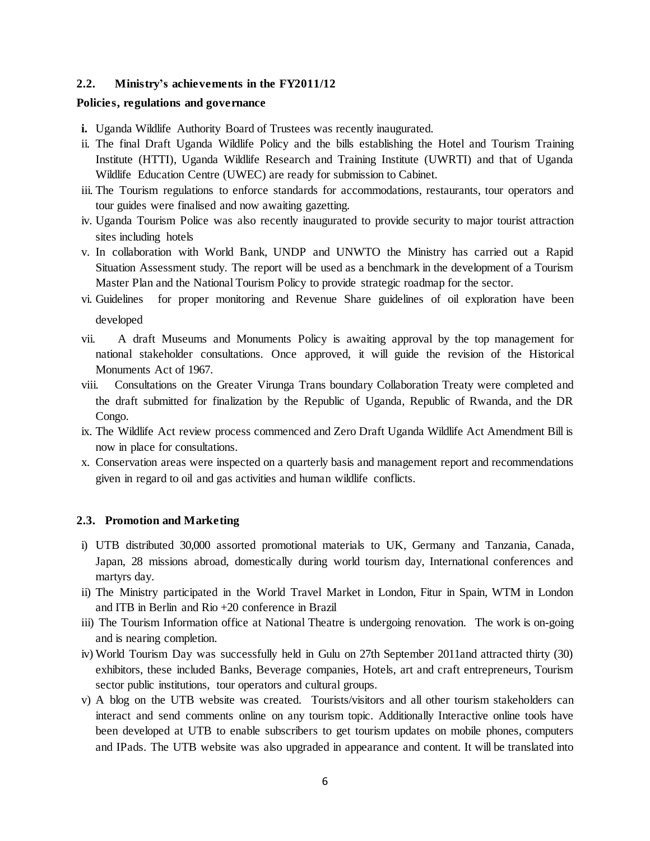#### **2.2. Ministry's achievements in the FY2011/12**

#### **Policies, regulations and governance**

- **i.** Uganda Wildlife Authority Board of Trustees was recently inaugurated.
- ii. The final Draft Uganda Wildlife Policy and the bills establishing the Hotel and Tourism Training Institute (HTTI), Uganda Wildlife Research and Training Institute (UWRTI) and that of Uganda Wildlife Education Centre (UWEC) are ready for submission to Cabinet.
- iii. The Tourism regulations to enforce standards for accommodations, restaurants, tour operators and tour guides were finalised and now awaiting gazetting.
- iv. Uganda Tourism Police was also recently inaugurated to provide security to major tourist attraction sites including hotels
- v. In collaboration with World Bank, UNDP and UNWTO the Ministry has carried out a Rapid Situation Assessment study. The report will be used as a benchmark in the development of a Tourism Master Plan and the National Tourism Policy to provide strategic roadmap for the sector.
- vi. Guidelines for proper monitoring and Revenue Share guidelines of oil exploration have been developed
- vii. A draft Museums and Monuments Policy is awaiting approval by the top management for national stakeholder consultations. Once approved, it will guide the revision of the Historical Monuments Act of 1967.
- viii. Consultations on the Greater Virunga Trans boundary Collaboration Treaty were completed and the draft submitted for finalization by the Republic of Uganda, Republic of Rwanda, and the DR Congo.
- ix. The Wildlife Act review process commenced and Zero Draft Uganda Wildlife Act Amendment Bill is now in place for consultations.
- x. Conservation areas were inspected on a quarterly basis and management report and recommendations given in regard to oil and gas activities and human wildlife conflicts.

#### **2.3. Promotion and Marketing**

- i) UTB distributed 30,000 assorted promotional materials to UK, Germany and Tanzania, Canada, Japan, 28 missions abroad, domestically during world tourism day, International conferences and martyrs day.
- ii) The Ministry participated in the World Travel Market in London, Fitur in Spain, WTM in London and ITB in Berlin and Rio +20 conference in Brazil
- iii) The Tourism Information office at National Theatre is undergoing renovation. The work is on-going and is nearing completion.
- iv) World Tourism Day was successfully held in Gulu on 27th September 2011and attracted thirty (30) exhibitors, these included Banks, Beverage companies, Hotels, art and craft entrepreneurs, Tourism sector public institutions, tour operators and cultural groups.
- v) A blog on the UTB website was created. Tourists/visitors and all other tourism stakeholders can interact and send comments online on any tourism topic. Additionally Interactive online tools have been developed at UTB to enable subscribers to get tourism updates on mobile phones, computers and IPads. The UTB website was also upgraded in appearance and content. It will be translated into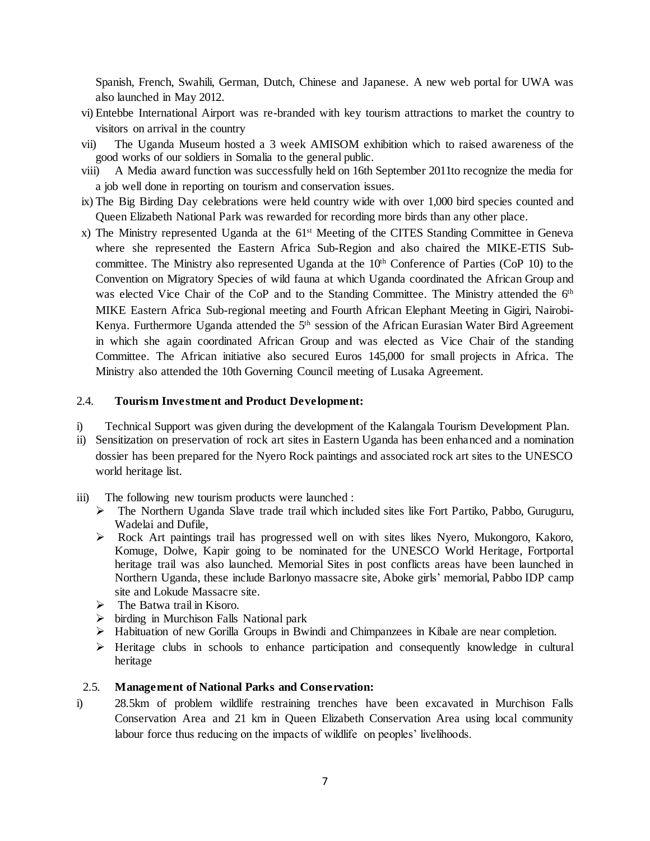Spanish, French, Swahili, German, Dutch, Chinese and Japanese. A new web portal for UWA was also launched in May 2012.

- vi) Entebbe International Airport was re-branded with key tourism attractions to market the country to visitors on arrival in the country
- vii) The Uganda Museum hosted a 3 week AMISOM exhibition which to raised awareness of the good works of our soldiers in Somalia to the general public.
- viii) A Media award function was successfully held on 16th September 2011to recognize the media for a job well done in reporting on tourism and conservation issues.
- ix) The Big Birding Day celebrations were held country wide with over 1,000 bird species counted and Queen Elizabeth National Park was rewarded for recording more birds than any other place.
- x) The Ministry represented Uganda at the 61st Meeting of the CITES Standing Committee in Geneva where she represented the Eastern Africa Sub-Region and also chaired the MIKE-ETIS Subcommittee. The Ministry also represented Uganda at the  $10<sup>th</sup>$  Conference of Parties (CoP 10) to the Convention on Migratory Species of wild fauna at which Uganda coordinated the African Group and was elected Vice Chair of the CoP and to the Standing Committee. The Ministry attended the 6<sup>th</sup> MIKE Eastern Africa Sub-regional meeting and Fourth African Elephant Meeting in Gigiri, Nairobi-Kenya. Furthermore Uganda attended the 5<sup>th</sup> session of the African Eurasian Water Bird Agreement in which she again coordinated African Group and was elected as Vice Chair of the standing Committee. The African initiative also secured Euros 145,000 for small projects in Africa. The Ministry also attended the 10th Governing Council meeting of Lusaka Agreement.

## 2.4. **Tourism Investment and Product Development:**

- i) Technical Support was given during the development of the Kalangala Tourism Development Plan.
- ii) Sensitization on preservation of rock art sites in Eastern Uganda has been enhanced and a nomination dossier has been prepared for the Nyero Rock paintings and associated rock art sites to the UNESCO world heritage list.
- iii) The following new tourism products were launched :
	- The Northern Uganda Slave trade trail which included sites like Fort Partiko, Pabbo, Guruguru, Wadelai and Dufile,
	- Rock Art paintings trail has progressed well on with sites likes Nyero, Mukongoro, Kakoro, Komuge, Dolwe, Kapir going to be nominated for the UNESCO World Heritage, Fortportal heritage trail was also launched. Memorial Sites in post conflicts areas have been launched in Northern Uganda, these include Barlonyo massacre site, Aboke girls' memorial, Pabbo IDP camp site and Lokude Massacre site.
	- $\triangleright$  The Batwa trail in Kisoro.
	- $\triangleright$  birding in Murchison Falls National park
	- $\triangleright$  Habituation of new Gorilla Groups in Bwindi and Chimpanzees in Kibale are near completion.
	- $\triangleright$  Heritage clubs in schools to enhance participation and consequently knowledge in cultural heritage

## 2.5. **Management of National Parks and Conservation:**

i) 28.5km of problem wildlife restraining trenches have been excavated in Murchison Falls Conservation Area and 21 km in Queen Elizabeth Conservation Area using local community labour force thus reducing on the impacts of wildlife on peoples' livelihoods.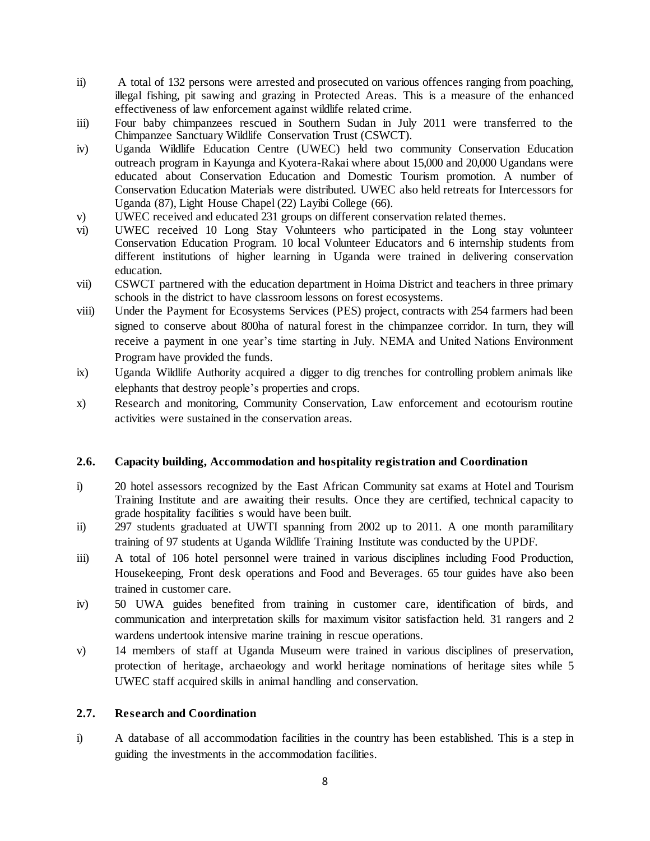- ii) A total of 132 persons were arrested and prosecuted on various offences ranging from poaching, illegal fishing, pit sawing and grazing in Protected Areas. This is a measure of the enhanced effectiveness of law enforcement against wildlife related crime.
- iii) Four baby chimpanzees rescued in Southern Sudan in July 2011 were transferred to the Chimpanzee Sanctuary Wildlife Conservation Trust (CSWCT).
- iv) Uganda Wildlife Education Centre (UWEC) held two community Conservation Education outreach program in Kayunga and Kyotera-Rakai where about 15,000 and 20,000 Ugandans were educated about Conservation Education and Domestic Tourism promotion. A number of Conservation Education Materials were distributed. UWEC also held retreats for Intercessors for Uganda (87), Light House Chapel (22) Layibi College (66).
- v) UWEC received and educated 231 groups on different conservation related themes.
- vi) UWEC received 10 Long Stay Volunteers who participated in the Long stay volunteer Conservation Education Program. 10 local Volunteer Educators and 6 internship students from different institutions of higher learning in Uganda were trained in delivering conservation education.
- vii) CSWCT partnered with the education department in Hoima District and teachers in three primary schools in the district to have classroom lessons on forest ecosystems.
- viii) Under the Payment for Ecosystems Services (PES) project, contracts with 254 farmers had been signed to conserve about 800ha of natural forest in the chimpanzee corridor. In turn, they will receive a payment in one year's time starting in July. NEMA and United Nations Environment Program have provided the funds.
- ix) Uganda Wildlife Authority acquired a digger to dig trenches for controlling problem animals like elephants that destroy people's properties and crops.
- x) Research and monitoring, Community Conservation, Law enforcement and ecotourism routine activities were sustained in the conservation areas.

# **2.6. Capacity building, Accommodation and hospitality registration and Coordination**

- i) 20 hotel assessors recognized by the East African Community sat exams at Hotel and Tourism Training Institute and are awaiting their results. Once they are certified, technical capacity to grade hospitality facilities s would have been built.
- ii) 297 students graduated at UWTI spanning from 2002 up to 2011. A one month paramilitary training of 97 students at Uganda Wildlife Training Institute was conducted by the UPDF.
- iii) A total of 106 hotel personnel were trained in various disciplines including Food Production, Housekeeping, Front desk operations and Food and Beverages. 65 tour guides have also been trained in customer care.
- iv) 50 UWA guides benefited from training in customer care, identification of birds, and communication and interpretation skills for maximum visitor satisfaction held. 31 rangers and 2 wardens undertook intensive marine training in rescue operations.
- v) 14 members of staff at Uganda Museum were trained in various disciplines of preservation, protection of heritage, archaeology and world heritage nominations of heritage sites while 5 UWEC staff acquired skills in animal handling and conservation.

## **2.7. Research and Coordination**

i) A database of all accommodation facilities in the country has been established. This is a step in guiding the investments in the accommodation facilities.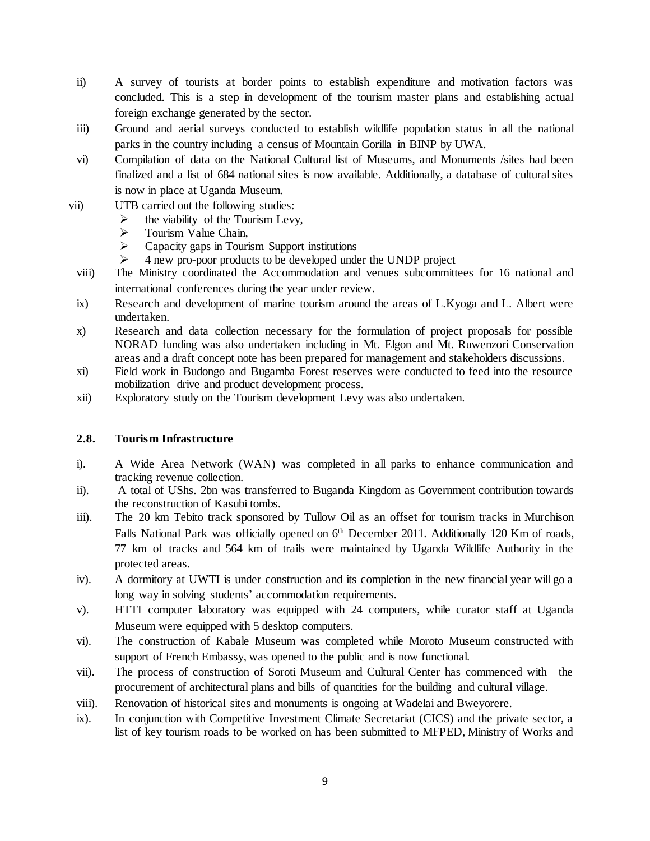- ii) A survey of tourists at border points to establish expenditure and motivation factors was concluded. This is a step in development of the tourism master plans and establishing actual foreign exchange generated by the sector.
- iii) Ground and aerial surveys conducted to establish wildlife population status in all the national parks in the country including a census of Mountain Gorilla in BINP by UWA.
- vi) Compilation of data on the National Cultural list of Museums, and Monuments /sites had been finalized and a list of 684 national sites is now available. Additionally, a database of cultural sites is now in place at Uganda Museum.
- vii) UTB carried out the following studies:
	- $\triangleright$  the viability of the Tourism Levy,
	- $\triangleright$  Tourism Value Chain,<br> $\triangleright$  Capacity gaps in Touri
	- Capacity gaps in Tourism Support institutions
	- $\geq$  4 new pro-poor products to be developed under the UNDP project
	- viii) The Ministry coordinated the Accommodation and venues subcommittees for 16 national and international conferences during the year under review.
	- ix) Research and development of marine tourism around the areas of L.Kyoga and L. Albert were undertaken.
	- x) Research and data collection necessary for the formulation of project proposals for possible NORAD funding was also undertaken including in Mt. Elgon and Mt. Ruwenzori Conservation areas and a draft concept note has been prepared for management and stakeholders discussions.
	- xi) Field work in Budongo and Bugamba Forest reserves were conducted to feed into the resource mobilization drive and product development process.
	- xii) Exploratory study on the Tourism development Levy was also undertaken.

## **2.8. Tourism Infrastructure**

- i). A Wide Area Network (WAN) was completed in all parks to enhance communication and tracking revenue collection.
- ii). A total of UShs. 2bn was transferred to Buganda Kingdom as Government contribution towards the reconstruction of Kasubi tombs.
- iii). The 20 km Tebito track sponsored by Tullow Oil as an offset for tourism tracks in Murchison Falls National Park was officially opened on 6<sup>th</sup> December 2011. Additionally 120 Km of roads, 77 km of tracks and 564 km of trails were maintained by Uganda Wildlife Authority in the protected areas.
- iv). A dormitory at UWTI is under construction and its completion in the new financial year will go a long way in solving students' accommodation requirements.
- v). HTTI computer laboratory was equipped with 24 computers, while curator staff at Uganda Museum were equipped with 5 desktop computers.
- vi). The construction of Kabale Museum was completed while Moroto Museum constructed with support of French Embassy, was opened to the public and is now functional.
- vii). The process of construction of Soroti Museum and Cultural Center has commenced with the procurement of architectural plans and bills of quantities for the building and cultural village.
- viii). Renovation of historical sites and monuments is ongoing at Wadelai and Bweyorere.
- ix). In conjunction with Competitive Investment Climate Secretariat (CICS) and the private sector, a list of key tourism roads to be worked on has been submitted to MFPED, Ministry of Works and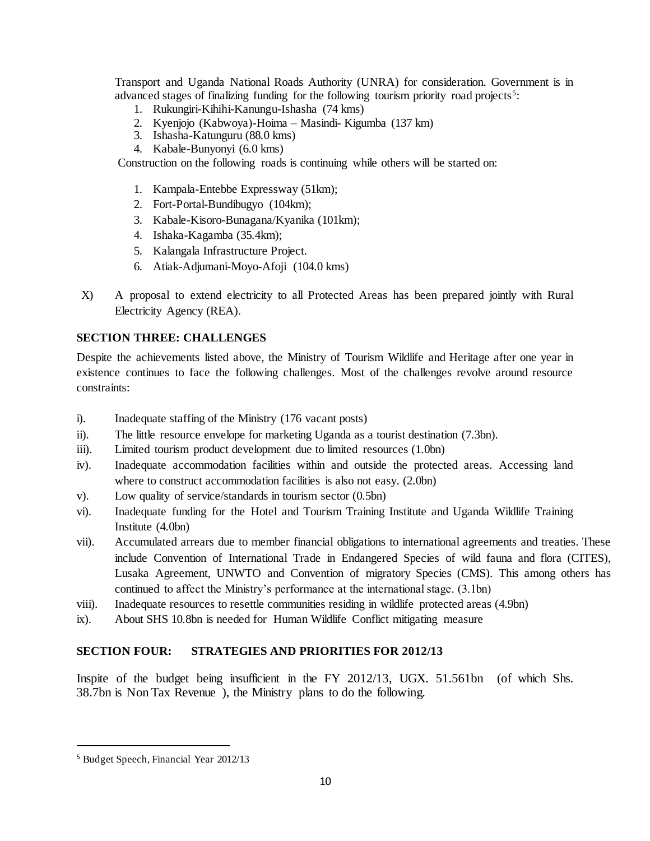Transport and Uganda National Roads Authority (UNRA) for consideration. Government is in advanced stages of finalizing funding for the following tourism priority road projects<sup>5</sup>:

- 1. Rukungiri-Kihihi-Kanungu-Ishasha (74 kms)
- 2. Kyenjojo (Kabwoya)-Hoima Masindi- Kigumba (137 km)
- 3. Ishasha-Katunguru (88.0 kms)
- 4. Kabale-Bunyonyi (6.0 kms)

Construction on the following roads is continuing while others will be started on:

- 1. Kampala-Entebbe Expressway (51km);
- 2. Fort-Portal-Bundibugyo (104km);
- 3. Kabale-Kisoro-Bunagana/Kyanika (101km);
- 4. Ishaka-Kagamba (35.4km);
- 5. Kalangala Infrastructure Project.
- 6. Atiak-Adjumani-Moyo-Afoji (104.0 kms)
- X) A proposal to extend electricity to all Protected Areas has been prepared jointly with Rural Electricity Agency (REA).

# **SECTION THREE: CHALLENGES**

Despite the achievements listed above, the Ministry of Tourism Wildlife and Heritage after one year in existence continues to face the following challenges. Most of the challenges revolve around resource constraints:

- i). Inadequate staffing of the Ministry (176 vacant posts)
- ii). The little resource envelope for marketing Uganda as a tourist destination (7.3bn).
- iii). Limited tourism product development due to limited resources (1.0bn)
- iv). Inadequate accommodation facilities within and outside the protected areas. Accessing land where to construct accommodation facilities is also not easy.  $(2.0bn)$
- v). Low quality of service/standards in tourism sector (0.5bn)
- vi). Inadequate funding for the Hotel and Tourism Training Institute and Uganda Wildlife Training Institute (4.0bn)
- vii). Accumulated arrears due to member financial obligations to international agreements and treaties. These include Convention of International Trade in Endangered Species of wild fauna and flora (CITES), Lusaka Agreement, UNWTO and Convention of migratory Species (CMS). This among others has continued to affect the Ministry's performance at the international stage. (3.1bn)
- viii). Inadequate resources to resettle communities residing in wildlife protected areas (4.9bn)
- ix). About SHS 10.8bn is needed for Human Wildlife Conflict mitigating measure

# **SECTION FOUR: STRATEGIES AND PRIORITIES FOR 2012/13**

Inspite of the budget being insufficient in the FY 2012/13, UGX. 51.561bn (of which Shs. 38.7bn is Non Tax Revenue ), the Ministry plans to do the following.

 $\overline{a}$ 

<sup>5</sup> Budget Speech, Financial Year 2012/13